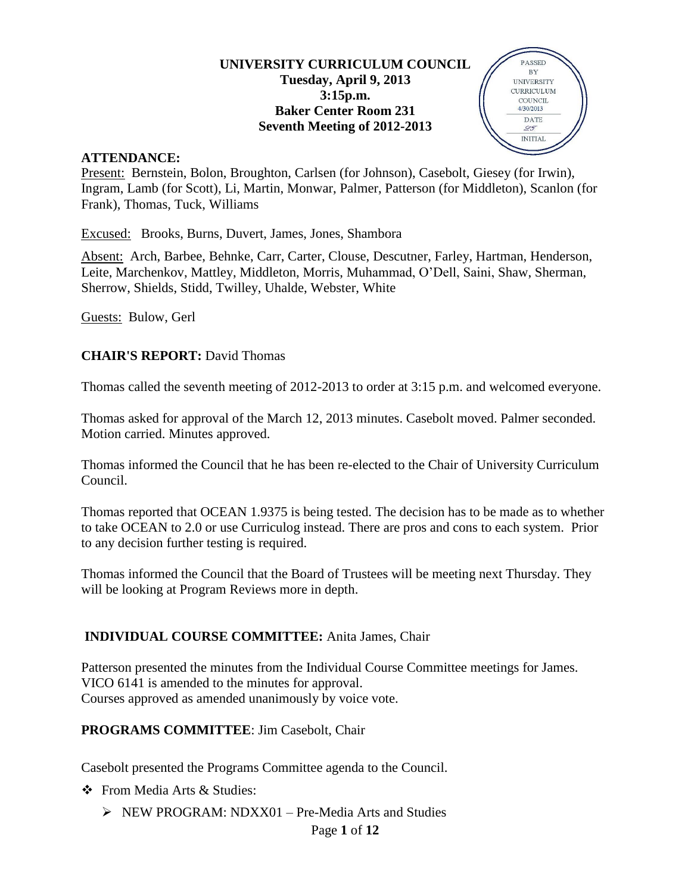### **UNIVERSITY CURRICULUM COUNCIL Tuesday, April 9, 2013 3:15p.m. Baker Center Room 231 Seventh Meeting of 2012-2013**

PASSED  $\rm BY$ **UNIVERSITY** CURRICULUM  $\rm{COUNT}$ 4/30/2013 DATE  $99$ **INITIAL** 



Present: Bernstein, Bolon, Broughton, Carlsen (for Johnson), Casebolt, Giesey (for Irwin), Ingram, Lamb (for Scott), Li, Martin, Monwar, Palmer, Patterson (for Middleton), Scanlon (for Frank), Thomas, Tuck, Williams

Excused: Brooks, Burns, Duvert, James, Jones, Shambora

Absent: Arch, Barbee, Behnke, Carr, Carter, Clouse, Descutner, Farley, Hartman, Henderson, Leite, Marchenkov, Mattley, Middleton, Morris, Muhammad, O'Dell, Saini, Shaw, Sherman, Sherrow, Shields, Stidd, Twilley, Uhalde, Webster, White

Guests: Bulow, Gerl

## **CHAIR'S REPORT:** David Thomas

Thomas called the seventh meeting of 2012-2013 to order at 3:15 p.m. and welcomed everyone.

Thomas asked for approval of the March 12, 2013 minutes. Casebolt moved. Palmer seconded. Motion carried. Minutes approved.

Thomas informed the Council that he has been re-elected to the Chair of University Curriculum Council.

Thomas reported that OCEAN 1.9375 is being tested. The decision has to be made as to whether to take OCEAN to 2.0 or use Curriculog instead. There are pros and cons to each system. Prior to any decision further testing is required.

Thomas informed the Council that the Board of Trustees will be meeting next Thursday. They will be looking at Program Reviews more in depth.

## **INDIVIDUAL COURSE COMMITTEE:** Anita James, Chair

Patterson presented the minutes from the Individual Course Committee meetings for James. VICO 6141 is amended to the minutes for approval. Courses approved as amended unanimously by voice vote.

### **PROGRAMS COMMITTEE**: Jim Casebolt, Chair

Casebolt presented the Programs Committee agenda to the Council.

❖ From Media Arts & Studies:

 $\triangleright$  NEW PROGRAM: NDXX01 – Pre-Media Arts and Studies

### Page **1** of **12**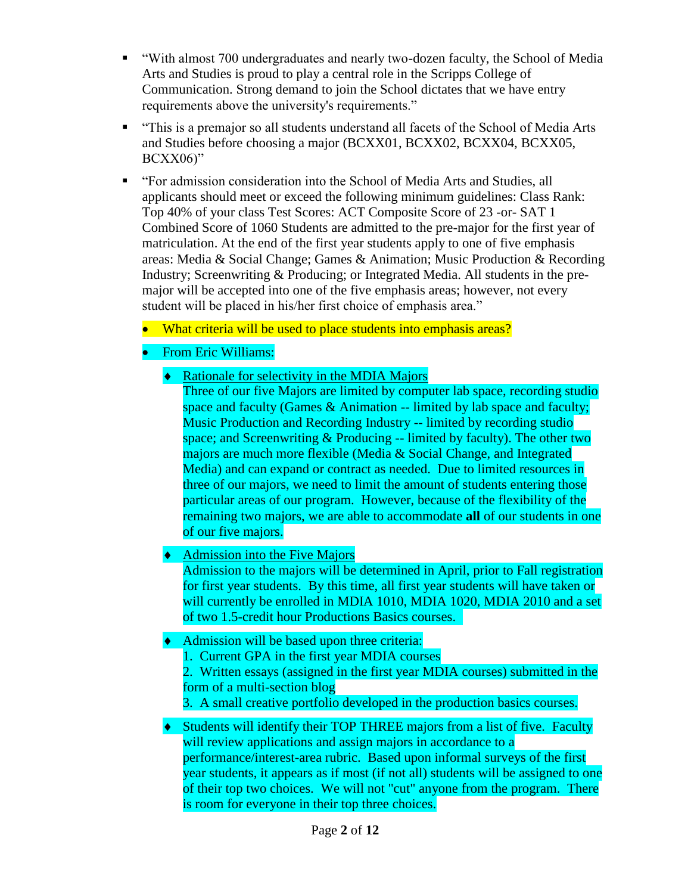- "With almost 700 undergraduates and nearly two-dozen faculty, the School of Media Arts and Studies is proud to play a central role in the Scripps College of Communication. Strong demand to join the School dictates that we have entry requirements above the university's requirements."
- "This is a premajor so all students understand all facets of the School of Media Arts and Studies before choosing a major (BCXX01, BCXX02, BCXX04, BCXX05, BCXX06)"
- "For admission consideration into the School of Media Arts and Studies, all applicants should meet or exceed the following minimum guidelines: Class Rank: Top 40% of your class Test Scores: ACT Composite Score of 23 -or- SAT 1 Combined Score of 1060 Students are admitted to the pre-major for the first year of matriculation. At the end of the first year students apply to one of five emphasis areas: Media & Social Change; Games & Animation; Music Production & Recording Industry; Screenwriting & Producing; or Integrated Media. All students in the premajor will be accepted into one of the five emphasis areas; however, not every student will be placed in his/her first choice of emphasis area."
	- What criteria will be used to place students into emphasis areas?
	- From Eric Williams:
		- Rationale for selectivity in the MDIA Majors

Three of our five Majors are limited by computer lab space, recording studio space and faculty (Games  $\&$  Animation -- limited by lab space and faculty; Music Production and Recording Industry -- limited by recording studio space; and Screenwriting  $&$  Producing -- limited by faculty). The other two majors are much more flexible (Media & Social Change, and Integrated Media) and can expand or contract as needed. Due to limited resources in three of our majors, we need to limit the amount of students entering those particular areas of our program. However, because of the flexibility of the remaining two majors, we are able to accommodate **all** of our students in one of our five majors.

# $\triangleleft$  Admission into the Five Majors

Admission to the majors will be determined in April, prior to Fall registration for first year students. By this time, all first year students will have taken or will currently be enrolled in MDIA 1010, MDIA 1020, MDIA 2010 and a set of two 1.5-credit hour Productions Basics courses.

## • Admission will be based upon three criteria:

- 1. Current GPA in the first year MDIA courses
- 2. Written essays (assigned in the first year MDIA courses) submitted in the form of a multi-section blog
- 3. A small creative portfolio developed in the production basics courses.
- Students will identify their TOP THREE majors from a list of five. Faculty will review applications and assign majors in accordance to a performance/interest-area rubric. Based upon informal surveys of the first year students, it appears as if most (if not all) students will be assigned to one of their top two choices. We will not "cut" anyone from the program. There is room for everyone in their top three choices.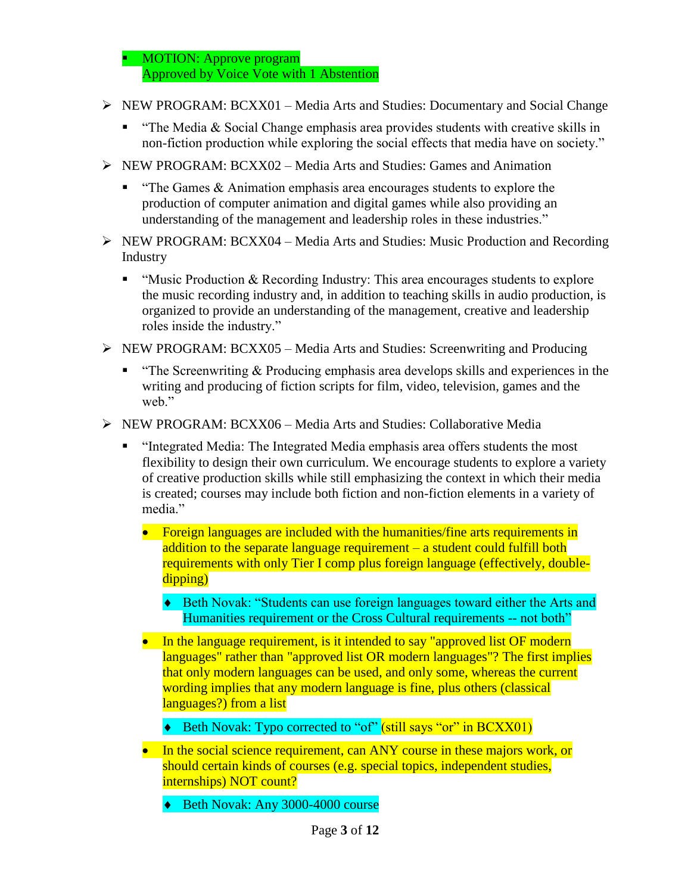• MOTION: Approve program Approved by Voice Vote with 1 Abstention

- NEW PROGRAM: BCXX01 Media Arts and Studies: Documentary and Social Change
	- " "The Media  $\&$  Social Change emphasis area provides students with creative skills in non-fiction production while exploring the social effects that media have on society."
- $\triangleright$  NEW PROGRAM: BCXX02 Media Arts and Studies: Games and Animation
	- $\blacksquare$  "The Games & Animation emphasis area encourages students to explore the production of computer animation and digital games while also providing an understanding of the management and leadership roles in these industries."
- $\triangleright$  NEW PROGRAM: BCXX04 Media Arts and Studies: Music Production and Recording Industry
	- " "Music Production  $&$  Recording Industry: This area encourages students to explore the music recording industry and, in addition to teaching skills in audio production, is organized to provide an understanding of the management, creative and leadership roles inside the industry."
- $\triangleright$  NEW PROGRAM: BCXX05 Media Arts and Studies: Screenwriting and Producing
	- $\blacksquare$  "The Screenwriting & Producing emphasis area develops skills and experiences in the writing and producing of fiction scripts for film, video, television, games and the weh"
- NEW PROGRAM: BCXX06 Media Arts and Studies: Collaborative Media
	- "Integrated Media: The Integrated Media emphasis area offers students the most flexibility to design their own curriculum. We encourage students to explore a variety of creative production skills while still emphasizing the context in which their media is created; courses may include both fiction and non-fiction elements in a variety of media."
		- Foreign languages are included with the humanities/fine arts requirements in addition to the separate language requirement – a student could fulfill both requirements with only Tier I comp plus foreign language (effectively, doubledipping)
			- ◆ Beth Novak: "Students can use foreign languages toward either the Arts and Humanities requirement or the Cross Cultural requirements -- not both"
		- In the language requirement, is it intended to say "approved list OF modern languages" rather than "approved list OR modern languages"? The first implies that only modern languages can be used, and only some, whereas the current wording implies that any modern language is fine, plus others (classical languages?) from a list
			- ◆ Beth Novak: Typo corrected to "of" (still says "or" in BCXX01)
		- In the social science requirement, can ANY course in these majors work, or should certain kinds of courses (e.g. special topics, independent studies, internships) NOT count?
			- Beth Novak: Any 3000-4000 course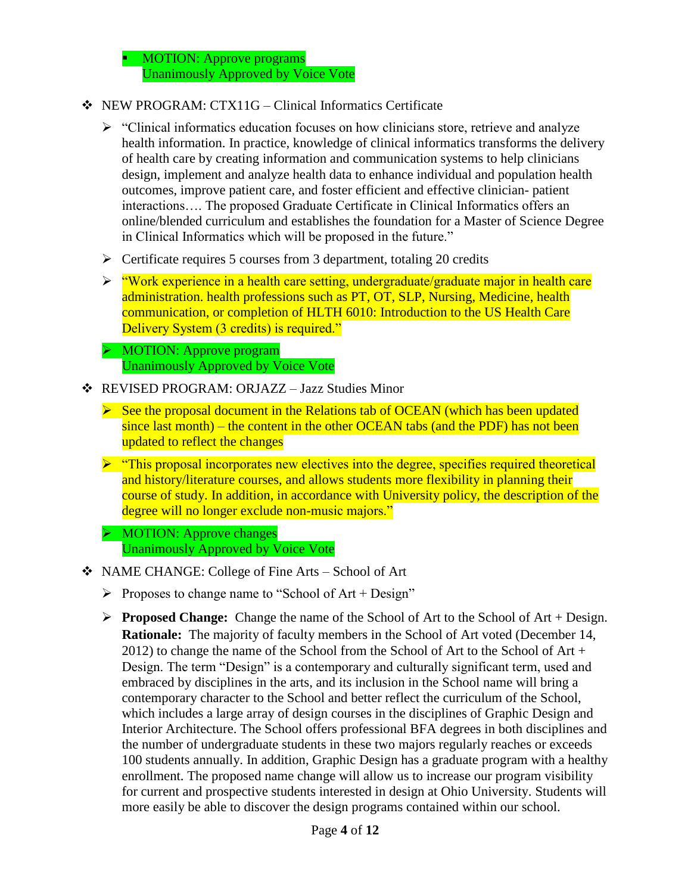MOTION: Approve programs Unanimously Approved by Voice Vote

- NEW PROGRAM: CTX11G Clinical Informatics Certificate
	- $\triangleright$  "Clinical informatics education focuses on how clinicians store, retrieve and analyze health information. In practice, knowledge of clinical informatics transforms the delivery of health care by creating information and communication systems to help clinicians design, implement and analyze health data to enhance individual and population health outcomes, improve patient care, and foster efficient and effective clinician- patient interactions…. The proposed Graduate Certificate in Clinical Informatics offers an online/blended curriculum and establishes the foundation for a Master of Science Degree in Clinical Informatics which will be proposed in the future."
	- $\triangleright$  Certificate requires 5 courses from 3 department, totaling 20 credits
	- $\triangleright$  "Work experience in a health care setting, undergraduate/graduate major in health care administration. health professions such as PT, OT, SLP, Nursing, Medicine, health communication, or completion of HLTH 6010: Introduction to the US Health Care Delivery System (3 credits) is required."
	- MOTION: Approve program Unanimously Approved by Voice Vote
- REVISED PROGRAM: ORJAZZ Jazz Studies Minor
	- $\triangleright$  See the proposal document in the Relations tab of OCEAN (which has been updated since last month) – the content in the other OCEAN tabs (and the PDF) has not been updated to reflect the changes
	- $\triangleright$  "This proposal incorporates new electives into the degree, specifies required theoretical and history/literature courses, and allows students more flexibility in planning their course of study. In addition, in accordance with University policy, the description of the degree will no longer exclude non-music majors."
	- $\triangleright$  MOTION: Approve changes Unanimously Approved by Voice Vote
- NAME CHANGE: College of Fine Arts School of Art
	- Proposes to change name to "School of  $Art + Design"$
	- **Proposed Change:** Change the name of the School of Art to the School of Art + Design. **Rationale:** The majority of faculty members in the School of Art voted (December 14, 2012) to change the name of the School from the School of Art to the School of Art + Design. The term "Design" is a contemporary and culturally significant term, used and embraced by disciplines in the arts, and its inclusion in the School name will bring a contemporary character to the School and better reflect the curriculum of the School, which includes a large array of design courses in the disciplines of Graphic Design and Interior Architecture. The School offers professional BFA degrees in both disciplines and the number of undergraduate students in these two majors regularly reaches or exceeds 100 students annually. In addition, Graphic Design has a graduate program with a healthy enrollment. The proposed name change will allow us to increase our program visibility for current and prospective students interested in design at Ohio University. Students will more easily be able to discover the design programs contained within our school.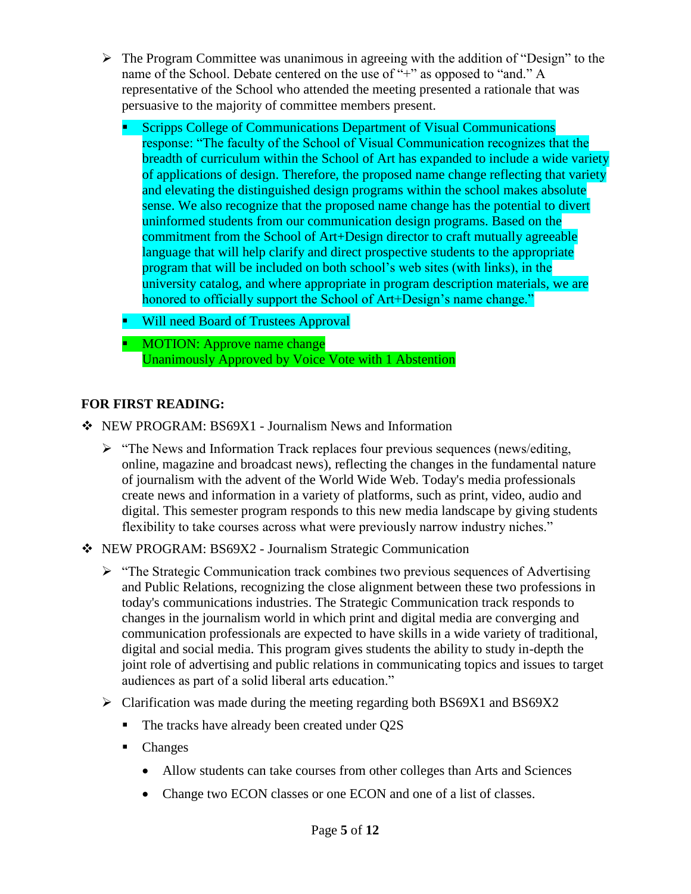- $\triangleright$  The Program Committee was unanimous in agreeing with the addition of "Design" to the name of the School. Debate centered on the use of "+" as opposed to "and." A representative of the School who attended the meeting presented a rationale that was persuasive to the majority of committee members present.
	- **Scripps College of Communications Department of Visual Communications** response: "The faculty of the School of Visual Communication recognizes that the breadth of curriculum within the School of Art has expanded to include a wide variety of applications of design. Therefore, the proposed name change reflecting that variety and elevating the distinguished design programs within the school makes absolute sense. We also recognize that the proposed name change has the potential to divert uninformed students from our communication design programs. Based on the commitment from the School of Art+Design director to craft mutually agreeable language that will help clarify and direct prospective students to the appropriate program that will be included on both school's web sites (with links), in the university catalog, and where appropriate in program description materials, we are honored to officially support the School of Art+Design's name change."
	- Will need Board of Trustees Approval
	- **MOTION:** Approve name change Unanimously Approved by Voice Vote with 1 Abstention

## **FOR FIRST READING:**

- NEW PROGRAM: BS69X1 Journalism News and Information
	- $\triangleright$  "The News and Information Track replaces four previous sequences (news/editing, online, magazine and broadcast news), reflecting the changes in the fundamental nature of journalism with the advent of the World Wide Web. Today's media professionals create news and information in a variety of platforms, such as print, video, audio and digital. This semester program responds to this new media landscape by giving students flexibility to take courses across what were previously narrow industry niches."
- NEW PROGRAM: BS69X2 Journalism Strategic Communication
	- > "The Strategic Communication track combines two previous sequences of Advertising and Public Relations, recognizing the close alignment between these two professions in today's communications industries. The Strategic Communication track responds to changes in the journalism world in which print and digital media are converging and communication professionals are expected to have skills in a wide variety of traditional, digital and social media. This program gives students the ability to study in-depth the joint role of advertising and public relations in communicating topics and issues to target audiences as part of a solid liberal arts education."
	- $\triangleright$  Clarification was made during the meeting regarding both BS69X1 and BS69X2
		- The tracks have already been created under Q2S
		- Changes
			- Allow students can take courses from other colleges than Arts and Sciences
			- Change two ECON classes or one ECON and one of a list of classes.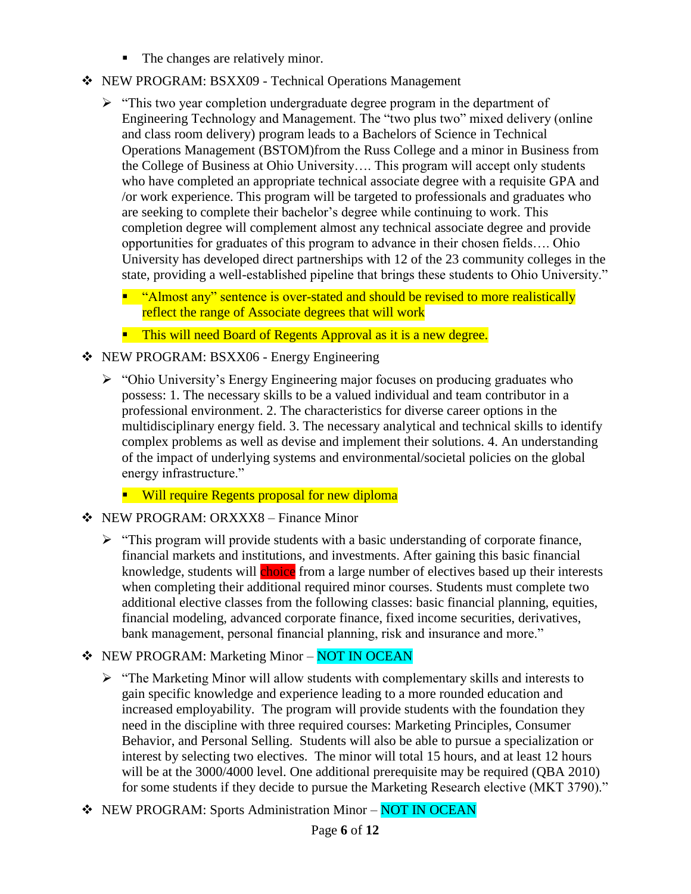- The changes are relatively minor.
- NEW PROGRAM: BSXX09 Technical Operations Management
	- $\triangleright$  "This two year completion undergraduate degree program in the department of Engineering Technology and Management. The "two plus two" mixed delivery (online and class room delivery) program leads to a Bachelors of Science in Technical Operations Management (BSTOM)from the Russ College and a minor in Business from the College of Business at Ohio University…. This program will accept only students who have completed an appropriate technical associate degree with a requisite GPA and /or work experience. This program will be targeted to professionals and graduates who are seeking to complete their bachelor's degree while continuing to work. This completion degree will complement almost any technical associate degree and provide opportunities for graduates of this program to advance in their chosen fields…. Ohio University has developed direct partnerships with 12 of the 23 community colleges in the state, providing a well-established pipeline that brings these students to Ohio University."
		- "Almost any" sentence is over-stated and should be revised to more realistically reflect the range of Associate degrees that will work
		- **This will need Board of Regents Approval as it is a new degree.**
- NEW PROGRAM: BSXX06 Energy Engineering
	- "Ohio University's Energy Engineering major focuses on producing graduates who possess: 1. The necessary skills to be a valued individual and team contributor in a professional environment. 2. The characteristics for diverse career options in the multidisciplinary energy field. 3. The necessary analytical and technical skills to identify complex problems as well as devise and implement their solutions. 4. An understanding of the impact of underlying systems and environmental/societal policies on the global energy infrastructure."
		- **Will require Regents proposal for new diploma**
- NEW PROGRAM: ORXXX8 Finance Minor
	- $\triangleright$  "This program will provide students with a basic understanding of corporate finance, financial markets and institutions, and investments. After gaining this basic financial knowledge, students will choice from a large number of electives based up their interests when completing their additional required minor courses. Students must complete two additional elective classes from the following classes: basic financial planning, equities, financial modeling, advanced corporate finance, fixed income securities, derivatives, bank management, personal financial planning, risk and insurance and more."
- ❖ NEW PROGRAM: Marketing Minor NOT IN OCEAN
	- $\triangleright$  "The Marketing Minor will allow students with complementary skills and interests to gain specific knowledge and experience leading to a more rounded education and increased employability. The program will provide students with the foundation they need in the discipline with three required courses: Marketing Principles, Consumer Behavior, and Personal Selling. Students will also be able to pursue a specialization or interest by selecting two electives. The minor will total 15 hours, and at least 12 hours will be at the 3000/4000 level. One additional prerequisite may be required (QBA 2010) for some students if they decide to pursue the Marketing Research elective (MKT 3790)."
- \* NEW PROGRAM: Sports Administration Minor NOT IN OCEAN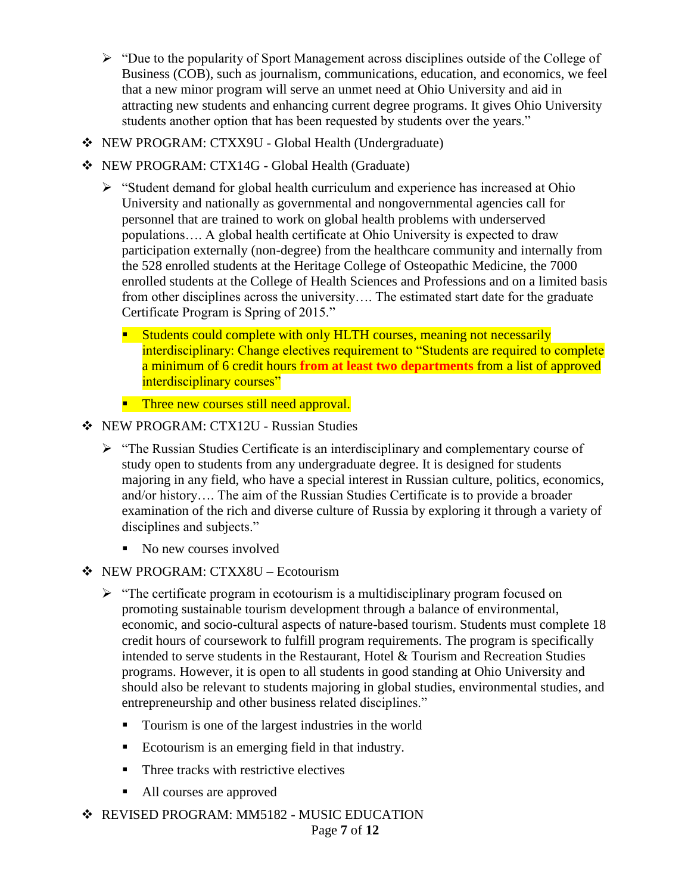- $\triangleright$  "Due to the popularity of Sport Management across disciplines outside of the College of Business (COB), such as journalism, communications, education, and economics, we feel that a new minor program will serve an unmet need at Ohio University and aid in attracting new students and enhancing current degree programs. It gives Ohio University students another option that has been requested by students over the years."
- NEW PROGRAM: CTXX9U Global Health (Undergraduate)
- NEW PROGRAM: CTX14G Global Health (Graduate)
	- $\triangleright$  "Student demand for global health curriculum and experience has increased at Ohio University and nationally as governmental and nongovernmental agencies call for personnel that are trained to work on global health problems with underserved populations…. A global health certificate at Ohio University is expected to draw participation externally (non-degree) from the healthcare community and internally from the 528 enrolled students at the Heritage College of Osteopathic Medicine, the 7000 enrolled students at the College of Health Sciences and Professions and on a limited basis from other disciplines across the university…. The estimated start date for the graduate Certificate Program is Spring of 2015."
		- **Students could complete with only HLTH courses, meaning not necessarily** interdisciplinary: Change electives requirement to "Students are required to complete a minimum of 6 credit hours **from at least two departments** from a list of approved interdisciplinary courses"
		- **Three new courses still need approval.**
- ❖ NEW PROGRAM: CTX12U Russian Studies
	- "The Russian Studies Certificate is an interdisciplinary and complementary course of study open to students from any undergraduate degree. It is designed for students majoring in any field, who have a special interest in Russian culture, politics, economics, and/or history…. The aim of the Russian Studies Certificate is to provide a broader examination of the rich and diverse culture of Russia by exploring it through a variety of disciplines and subjects."
		- No new courses involved
- NEW PROGRAM: CTXX8U Ecotourism
	- $\triangleright$  "The certificate program in ecotourism is a multidisciplinary program focused on promoting sustainable tourism development through a balance of environmental, economic, and socio-cultural aspects of nature-based tourism. Students must complete 18 credit hours of coursework to fulfill program requirements. The program is specifically intended to serve students in the Restaurant, Hotel & Tourism and Recreation Studies programs. However, it is open to all students in good standing at Ohio University and should also be relevant to students majoring in global studies, environmental studies, and entrepreneurship and other business related disciplines."
		- **Tourism is one of the largest industries in the world**
		- Ecotourism is an emerging field in that industry.
		- **Three tracks with restrictive electives**
		- All courses are approved
- **❖ REVISED PROGRAM: MM5182 MUSIC EDUCATION**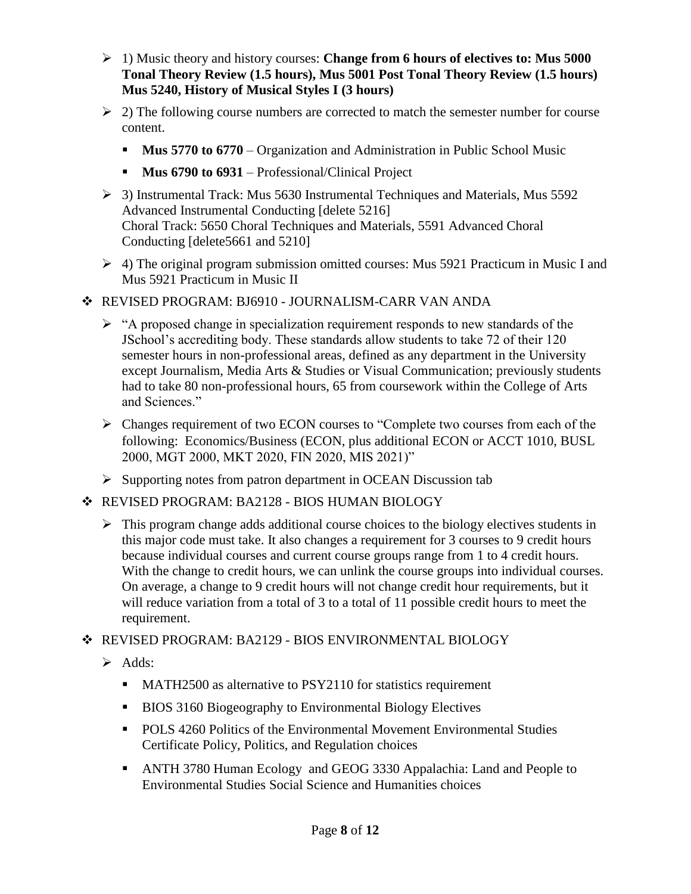- 1) Music theory and history courses: **Change from 6 hours of electives to: Mus 5000 Tonal Theory Review (1.5 hours), Mus 5001 Post Tonal Theory Review (1.5 hours) Mus 5240, History of Musical Styles I (3 hours)**
- $\geq$  2) The following course numbers are corrected to match the semester number for course content.
	- **Mus 5770 to 6770** Organization and Administration in Public School Music
	- **Mus 6790 to 6931** Professional/Clinical Project
- 3) Instrumental Track: Mus 5630 Instrumental Techniques and Materials, Mus 5592 Advanced Instrumental Conducting [delete 5216] Choral Track: 5650 Choral Techniques and Materials, 5591 Advanced Choral Conducting [delete5661 and 5210]
- $\geq$  4) The original program submission omitted courses: Mus 5921 Practicum in Music I and Mus 5921 Practicum in Music II
- REVISED PROGRAM: BJ6910 JOURNALISM-CARR VAN ANDA
	- $\triangleright$  "A proposed change in specialization requirement responds to new standards of the JSchool's accrediting body. These standards allow students to take 72 of their 120 semester hours in non-professional areas, defined as any department in the University except Journalism, Media Arts & Studies or Visual Communication; previously students had to take 80 non-professional hours, 65 from coursework within the College of Arts and Sciences."
	- $\triangleright$  Changes requirement of two ECON courses to "Complete two courses from each of the following: Economics/Business (ECON, plus additional ECON or ACCT 1010, BUSL 2000, MGT 2000, MKT 2020, FIN 2020, MIS 2021)"
	- $\triangleright$  Supporting notes from patron department in OCEAN Discussion tab
- ◆ REVISED PROGRAM: BA2128 BIOS HUMAN BIOLOGY
	- $\triangleright$  This program change adds additional course choices to the biology electives students in this major code must take. It also changes a requirement for 3 courses to 9 credit hours because individual courses and current course groups range from 1 to 4 credit hours. With the change to credit hours, we can unlink the course groups into individual courses. On average, a change to 9 credit hours will not change credit hour requirements, but it will reduce variation from a total of 3 to a total of 11 possible credit hours to meet the requirement.

# REVISED PROGRAM: BA2129 - BIOS ENVIRONMENTAL BIOLOGY

- $\triangleright$  Adds:
	- MATH2500 as alternative to PSY2110 for statistics requirement
	- **BIOS 3160 Biogeography to Environmental Biology Electives**
	- POLS 4260 Politics of the Environmental Movement Environmental Studies Certificate Policy, Politics, and Regulation choices
	- ANTH 3780 Human Ecology and GEOG 3330 Appalachia: Land and People to Environmental Studies Social Science and Humanities choices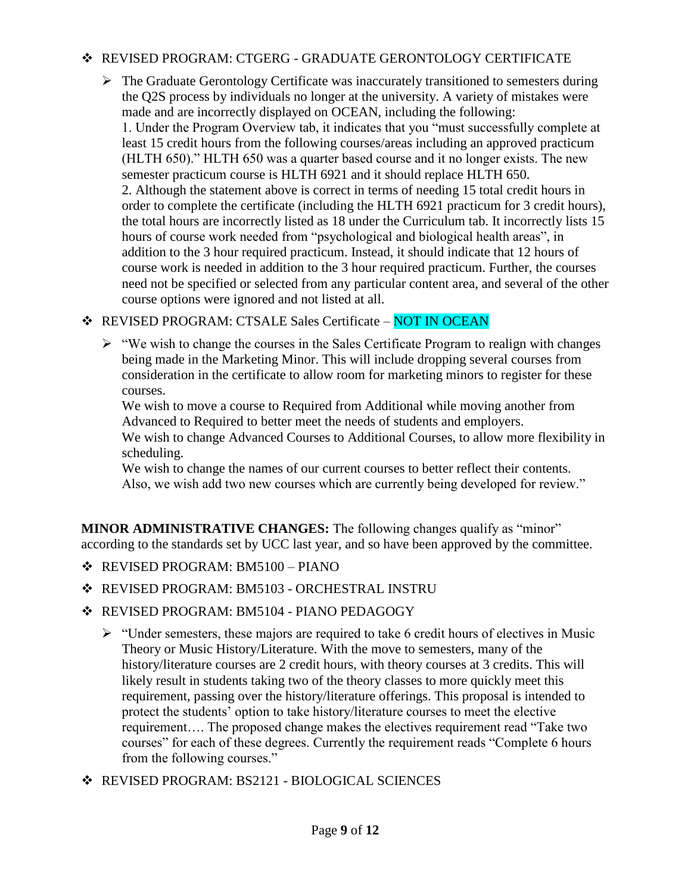## REVISED PROGRAM: CTGERG - GRADUATE GERONTOLOGY CERTIFICATE

 $\triangleright$  The Graduate Gerontology Certificate was inaccurately transitioned to semesters during the Q2S process by individuals no longer at the university. A variety of mistakes were made and are incorrectly displayed on OCEAN, including the following: 1. Under the Program Overview tab, it indicates that you "must successfully complete at least 15 credit hours from the following courses/areas including an approved practicum (HLTH 650)." HLTH 650 was a quarter based course and it no longer exists. The new semester practicum course is HLTH 6921 and it should replace HLTH 650. 2. Although the statement above is correct in terms of needing 15 total credit hours in order to complete the certificate (including the HLTH 6921 practicum for 3 credit hours), the total hours are incorrectly listed as 18 under the Curriculum tab. It incorrectly lists 15 hours of course work needed from "psychological and biological health areas", in addition to the 3 hour required practicum. Instead, it should indicate that 12 hours of course work is needed in addition to the 3 hour required practicum. Further, the courses need not be specified or selected from any particular content area, and several of the other course options were ignored and not listed at all.

\* REVISED PROGRAM: CTSALE Sales Certificate - NOT IN OCEAN

 $\triangleright$  "We wish to change the courses in the Sales Certificate Program to realign with changes being made in the Marketing Minor. This will include dropping several courses from consideration in the certificate to allow room for marketing minors to register for these courses.

We wish to move a course to Required from Additional while moving another from Advanced to Required to better meet the needs of students and employers.

We wish to change Advanced Courses to Additional Courses, to allow more flexibility in scheduling.

We wish to change the names of our current courses to better reflect their contents. Also, we wish add two new courses which are currently being developed for review."

**MINOR ADMINISTRATIVE CHANGES:** The following changes qualify as "minor" according to the standards set by UCC last year, and so have been approved by the committee.

- REVISED PROGRAM: BM5100 PIANO
- REVISED PROGRAM: BM5103 ORCHESTRAL INSTRU
- REVISED PROGRAM: BM5104 PIANO PEDAGOGY
	- $\triangleright$  "Under semesters, these majors are required to take 6 credit hours of electives in Music Theory or Music History/Literature. With the move to semesters, many of the history/literature courses are 2 credit hours, with theory courses at 3 credits. This will likely result in students taking two of the theory classes to more quickly meet this requirement, passing over the history/literature offerings. This proposal is intended to protect the students' option to take history/literature courses to meet the elective requirement…. The proposed change makes the electives requirement read "Take two courses" for each of these degrees. Currently the requirement reads "Complete 6 hours from the following courses."
- REVISED PROGRAM: BS2121 BIOLOGICAL SCIENCES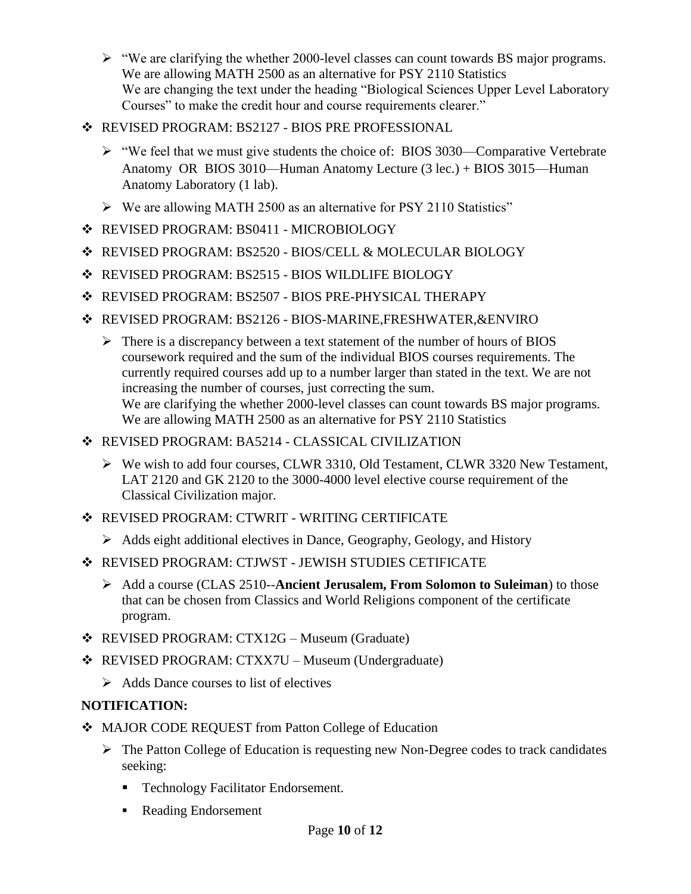- $\triangleright$  "We are clarifying the whether 2000-level classes can count towards BS major programs. We are allowing MATH 2500 as an alternative for PSY 2110 Statistics We are changing the text under the heading "Biological Sciences Upper Level Laboratory Courses" to make the credit hour and course requirements clearer."
- REVISED PROGRAM: BS2127 BIOS PRE PROFESSIONAL
	- "We feel that we must give students the choice of: BIOS 3030—Comparative Vertebrate Anatomy OR BIOS 3010—Human Anatomy Lecture (3 lec.) + BIOS 3015—Human Anatomy Laboratory (1 lab).
	- $\triangleright$  We are allowing MATH 2500 as an alternative for PSY 2110 Statistics"
- REVISED PROGRAM: BS0411 MICROBIOLOGY
- REVISED PROGRAM: BS2520 BIOS/CELL & MOLECULAR BIOLOGY
- REVISED PROGRAM: BS2515 BIOS WILDLIFE BIOLOGY
- REVISED PROGRAM: BS2507 BIOS PRE-PHYSICAL THERAPY
- REVISED PROGRAM: BS2126 BIOS-MARINE,FRESHWATER,&ENVIRO
	- There is a discrepancy between a text statement of the number of hours of BIOS coursework required and the sum of the individual BIOS courses requirements. The currently required courses add up to a number larger than stated in the text. We are not increasing the number of courses, just correcting the sum. We are clarifying the whether 2000-level classes can count towards BS major programs. We are allowing MATH 2500 as an alternative for PSY 2110 Statistics
- REVISED PROGRAM: BA5214 CLASSICAL CIVILIZATION
	- We wish to add four courses, CLWR 3310, Old Testament, CLWR 3320 New Testament, LAT 2120 and GK 2120 to the 3000-4000 level elective course requirement of the Classical Civilization major.
- REVISED PROGRAM: CTWRIT WRITING CERTIFICATE
	- $\triangleright$  Adds eight additional electives in Dance, Geography, Geology, and History
- REVISED PROGRAM: CTJWST JEWISH STUDIES CETIFICATE
	- Add a course (CLAS 2510--**Ancient Jerusalem, From Solomon to Suleiman**) to those that can be chosen from Classics and World Religions component of the certificate program.
- REVISED PROGRAM: CTX12G Museum (Graduate)
- REVISED PROGRAM: CTXX7U Museum (Undergraduate)
	- $\triangleright$  Adds Dance courses to list of electives

# **NOTIFICATION:**

- MAJOR CODE REQUEST from Patton College of Education
	- $\triangleright$  The Patton College of Education is requesting new Non-Degree codes to track candidates seeking:
		- **Technology Facilitator Endorsement.**
		- **Reading Endorsement**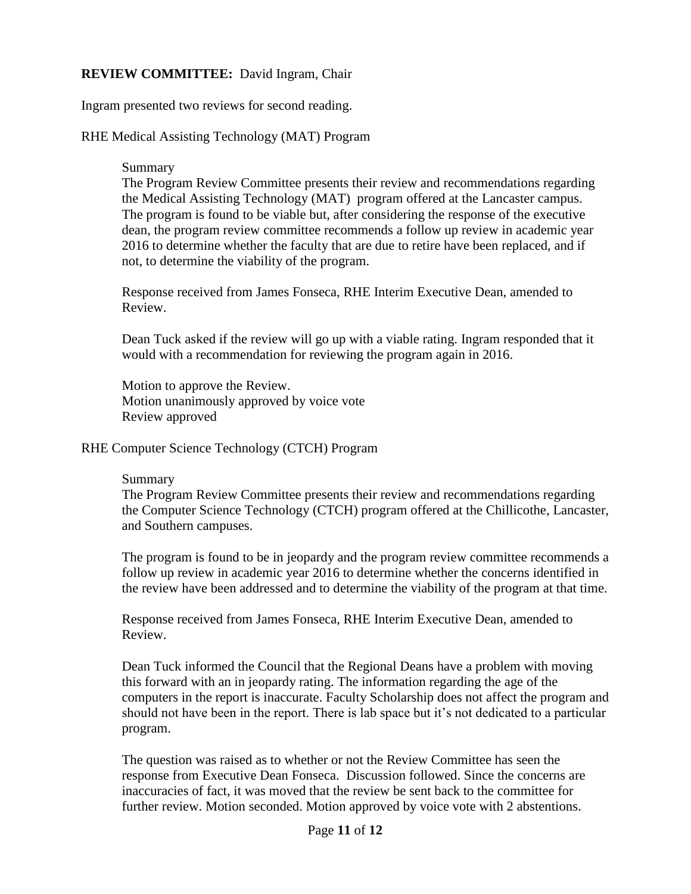### **REVIEW COMMITTEE:** David Ingram, Chair

Ingram presented two reviews for second reading.

RHE Medical Assisting Technology (MAT) Program

### Summary

The Program Review Committee presents their review and recommendations regarding the Medical Assisting Technology (MAT) program offered at the Lancaster campus. The program is found to be viable but, after considering the response of the executive dean, the program review committee recommends a follow up review in academic year 2016 to determine whether the faculty that are due to retire have been replaced, and if not, to determine the viability of the program.

Response received from James Fonseca, RHE Interim Executive Dean, amended to Review.

Dean Tuck asked if the review will go up with a viable rating. Ingram responded that it would with a recommendation for reviewing the program again in 2016.

Motion to approve the Review. Motion unanimously approved by voice vote Review approved

RHE Computer Science Technology (CTCH) Program

### Summary

The Program Review Committee presents their review and recommendations regarding the Computer Science Technology (CTCH) program offered at the Chillicothe, Lancaster, and Southern campuses.

The program is found to be in jeopardy and the program review committee recommends a follow up review in academic year 2016 to determine whether the concerns identified in the review have been addressed and to determine the viability of the program at that time.

Response received from James Fonseca, RHE Interim Executive Dean, amended to Review.

Dean Tuck informed the Council that the Regional Deans have a problem with moving this forward with an in jeopardy rating. The information regarding the age of the computers in the report is inaccurate. Faculty Scholarship does not affect the program and should not have been in the report. There is lab space but it's not dedicated to a particular program.

The question was raised as to whether or not the Review Committee has seen the response from Executive Dean Fonseca. Discussion followed. Since the concerns are inaccuracies of fact, it was moved that the review be sent back to the committee for further review. Motion seconded. Motion approved by voice vote with 2 abstentions.